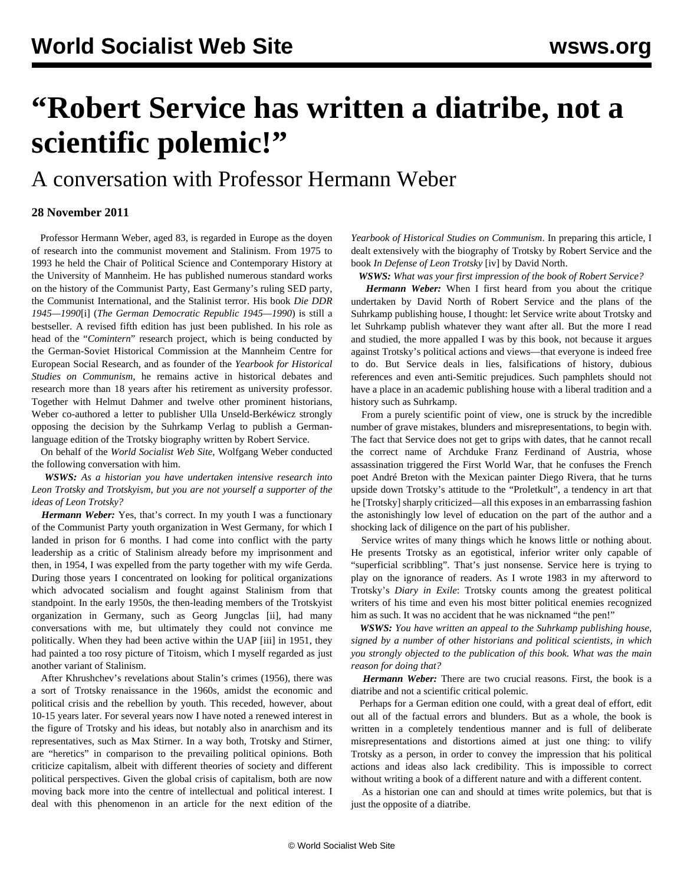## **"Robert Service has written a diatribe, not a scientific polemic!"**

A conversation with Professor Hermann Weber

## **28 November 2011**

 Professor Hermann Weber, aged 83, is regarded in Europe as the doyen of research into the communist movement and Stalinism. From 1975 to 1993 he held the Chair of Political Science and Contemporary History at the University of Mannheim. He has published numerous standard works on the history of the Communist Party, East Germany's ruling SED party, the Communist International, and the Stalinist terror. His book *Die DDR 1945—1990*[i] (*The German Democratic Republic 1945—1990*) is still a bestseller. A revised fifth edition has just been published. In his role as head of the "*Comintern*" research project, which is being conducted by the German-Soviet Historical Commission at the Mannheim Centre for European Social Research, and as founder of the *Yearbook for Historical Studies on Communism*, he remains active in historical debates and research more than 18 years after his retirement as university professor. Together with Helmut Dahmer and twelve other prominent historians, Weber co-authored a letter to publisher Ulla Unseld-Berkéwicz strongly opposing the decision by the Suhrkamp Verlag to publish a Germanlanguage edition of the Trotsky biography written by Robert Service.

 On behalf of the *World Socialist Web Site*, Wolfgang Weber conducted the following conversation with him.

 *WSWS: As a historian you have undertaken intensive research into Leon Trotsky and Trotskyism, but you are not yourself a supporter of the ideas of Leon Trotsky?*

 *Hermann Weber:* Yes, that's correct. In my youth I was a functionary of the Communist Party youth organization in West Germany, for which I landed in prison for 6 months. I had come into conflict with the party leadership as a critic of Stalinism already before my imprisonment and then, in 1954, I was expelled from the party together with my wife Gerda. During those years I concentrated on looking for political organizations which advocated socialism and fought against Stalinism from that standpoint. In the early 1950s, the then-leading members of the Trotskyist organization in Germany, such as Georg Jungclas [ii], had many conversations with me, but ultimately they could not convince me politically. When they had been active within the UAP [iii] in 1951, they had painted a too rosy picture of Titoism, which I myself regarded as just another variant of Stalinism.

 After Khrushchev's revelations about Stalin's crimes (1956), there was a sort of Trotsky renaissance in the 1960s, amidst the economic and political crisis and the rebellion by youth. This receded, however, about 10-15 years later. For several years now I have noted a renewed interest in the figure of Trotsky and his ideas, but notably also in anarchism and its representatives, such as Max Stirner. In a way both, Trotsky and Stirner, are "heretics" in comparison to the prevailing political opinions. Both criticize capitalism, albeit with different theories of society and different political perspectives. Given the global crisis of capitalism, both are now moving back more into the centre of intellectual and political interest. I deal with this phenomenon in an article for the next edition of the *Yearbook of Historical Studies on Communism*. In preparing this article, I dealt extensively with the biography of Trotsky by Robert Service and the book *In Defense of Leon Trotsky* [iv] by David North.

*WSWS: What was your first impression of the book of Robert Service?*

 *Hermann Weber:* When I first heard from you about the critique undertaken by David North of Robert Service and the plans of the Suhrkamp publishing house, I thought: let Service write about Trotsky and let Suhrkamp publish whatever they want after all. But the more I read and studied, the more appalled I was by this book, not because it argues against Trotsky's political actions and views—that everyone is indeed free to do. But Service deals in lies, falsifications of history, dubious references and even anti-Semitic prejudices. Such pamphlets should not have a place in an academic publishing house with a liberal tradition and a history such as Suhrkamp.

 From a purely scientific point of view, one is struck by the incredible number of grave mistakes, blunders and misrepresentations, to begin with. The fact that Service does not get to grips with dates, that he cannot recall the correct name of Archduke Franz Ferdinand of Austria, whose assassination triggered the First World War, that he confuses the French poet André Breton with the Mexican painter Diego Rivera, that he turns upside down Trotsky's attitude to the "Proletkult", a tendency in art that he [Trotsky] sharply criticized—all this exposes in an embarrassing fashion the astonishingly low level of education on the part of the author and a shocking lack of diligence on the part of his publisher.

 Service writes of many things which he knows little or nothing about. He presents Trotsky as an egotistical, inferior writer only capable of "superficial scribbling". That's just nonsense. Service here is trying to play on the ignorance of readers. As I wrote 1983 in my afterword to Trotsky's *Diary in Exile*: Trotsky counts among the greatest political writers of his time and even his most bitter political enemies recognized him as such. It was no accident that he was nicknamed "the pen!"

 *WSWS: You have written an appeal to the Suhrkamp publishing house, signed by a number of other historians and political scientists, in which you strongly objected to the publication of this book. What was the main reason for doing that?*

 *Hermann Weber:* There are two crucial reasons. First, the book is a diatribe and not a scientific critical polemic.

 Perhaps for a German edition one could, with a great deal of effort, edit out all of the factual errors and blunders. But as a whole, the book is written in a completely tendentious manner and is full of deliberate misrepresentations and distortions aimed at just one thing: to vilify Trotsky as a person, in order to convey the impression that his political actions and ideas also lack credibility. This is impossible to correct without writing a book of a different nature and with a different content.

 As a historian one can and should at times write polemics, but that is just the opposite of a diatribe.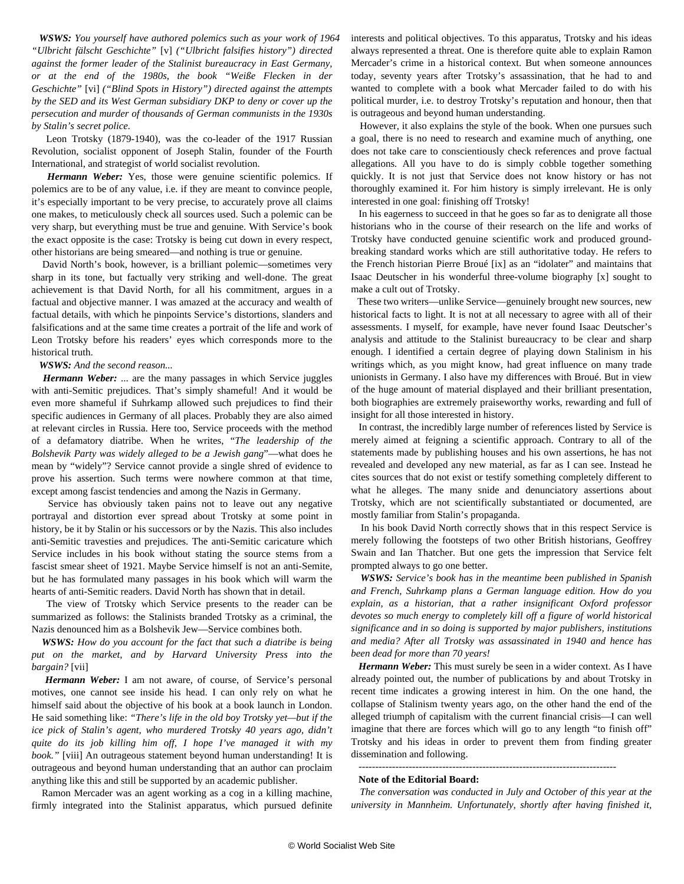*WSWS: You yourself have authored polemics such as your work of 1964 "Ulbricht fälscht Geschichte"* [v] *("Ulbricht falsifies history") directed against the former leader of the Stalinist bureaucracy in East Germany, or at the end of the 1980s, the book "Weiße Flecken in der Geschichte"* [vi] *("Blind Spots in History") directed against the attempts by the SED and its West German subsidiary DKP to deny or cover up the persecution and murder of thousands of German communists in the 1930s by Stalin's secret police.*

 Leon Trotsky (1879-1940), was the co-leader of the 1917 Russian Revolution, socialist opponent of Joseph Stalin, founder of the Fourth International, and strategist of world socialist revolution.

 *Hermann Weber:* Yes, those were genuine scientific polemics. If polemics are to be of any value, i.e. if they are meant to convince people, it's especially important to be very precise, to accurately prove all claims one makes, to meticulously check all sources used. Such a polemic can be very sharp, but everything must be true and genuine. With Service's book the exact opposite is the case: Trotsky is being cut down in every respect, other historians are being smeared—and nothing is true or genuine.

 David North's book, however, is a brilliant polemic—sometimes very sharp in its tone, but factually very striking and well-done. The great achievement is that David North, for all his commitment, argues in a factual and objective manner. I was amazed at the accuracy and wealth of factual details, with which he pinpoints Service's distortions, slanders and falsifications and at the same time creates a portrait of the life and work of Leon Trotsky before his readers' eyes which corresponds more to the historical truth.

## *WSWS: And the second reason...*

 *Hermann Weber:* ... are the many passages in which Service juggles with anti-Semitic prejudices. That's simply shameful! And it would be even more shameful if Suhrkamp allowed such prejudices to find their specific audiences in Germany of all places. Probably they are also aimed at relevant circles in Russia. Here too, Service proceeds with the method of a defamatory diatribe. When he writes, "*The leadership of the Bolshevik Party was widely alleged to be a Jewish gang*"—what does he mean by "widely"? Service cannot provide a single shred of evidence to prove his assertion. Such terms were nowhere common at that time, except among fascist tendencies and among the Nazis in Germany.

 Service has obviously taken pains not to leave out any negative portrayal and distortion ever spread about Trotsky at some point in history, be it by Stalin or his successors or by the Nazis. This also includes anti-Semitic travesties and prejudices. The anti-Semitic caricature which Service includes in his book without stating the source stems from a fascist smear sheet of 1921. Maybe Service himself is not an anti-Semite, but he has formulated many passages in his book which will warm the hearts of anti-Semitic readers. David North has shown that in detail.

 The view of Trotsky which Service presents to the reader can be summarized as follows: the Stalinists branded Trotsky as a criminal, the Nazis denounced him as a Bolshevik Jew—Service combines both.

 *WSWS: How do you account for the fact that such a diatribe is being put on the market, and by Harvard University Press into the bargain?* [vii]

 *Hermann Weber:* I am not aware, of course, of Service's personal motives, one cannot see inside his head. I can only rely on what he himself said about the objective of his book at a book launch in London. He said something like: *"There's life in the old boy Trotsky yet—but if the ice pick of Stalin's agent, who murdered Trotsky 40 years ago, didn't quite do its job killing him off, I hope I've managed it with my book."* [viii] An outrageous statement beyond human understanding! It is outrageous and beyond human understanding that an author can proclaim anything like this and still be supported by an academic publisher.

 Ramon Mercader was an agent working as a cog in a killing machine, firmly integrated into the Stalinist apparatus, which pursued definite interests and political objectives. To this apparatus, Trotsky and his ideas always represented a threat. One is therefore quite able to explain Ramon Mercader's crime in a historical context. But when someone announces today, seventy years after Trotsky's assassination, that he had to and wanted to complete with a book what Mercader failed to do with his political murder, i.e. to destroy Trotsky's reputation and honour, then that is outrageous and beyond human understanding.

 However, it also explains the style of the book. When one pursues such a goal, there is no need to research and examine much of anything, one does not take care to conscientiously check references and prove factual allegations. All you have to do is simply cobble together something quickly. It is not just that Service does not know history or has not thoroughly examined it. For him history is simply irrelevant. He is only interested in one goal: finishing off Trotsky!

 In his eagerness to succeed in that he goes so far as to denigrate all those historians who in the course of their research on the life and works of Trotsky have conducted genuine scientific work and produced groundbreaking standard works which are still authoritative today. He refers to the French historian Pierre Broué [ix] as an "idolater" and maintains that Isaac Deutscher in his wonderful three-volume biography [x] sought to make a cult out of Trotsky.

 These two writers—unlike Service—genuinely brought new sources, new historical facts to light. It is not at all necessary to agree with all of their assessments. I myself, for example, have never found Isaac Deutscher's analysis and attitude to the Stalinist bureaucracy to be clear and sharp enough. I identified a certain degree of playing down Stalinism in his writings which, as you might know, had great influence on many trade unionists in Germany. I also have my differences with Broué. But in view of the huge amount of material displayed and their brilliant presentation, both biographies are extremely praiseworthy works, rewarding and full of insight for all those interested in history.

 In contrast, the incredibly large number of references listed by Service is merely aimed at feigning a scientific approach. Contrary to all of the statements made by publishing houses and his own assertions, he has not revealed and developed any new material, as far as I can see. Instead he cites sources that do not exist or testify something completely different to what he alleges. The many snide and denunciatory assertions about Trotsky, which are not scientifically substantiated or documented, are mostly familiar from Stalin's propaganda.

 In his book David North correctly shows that in this respect Service is merely following the footsteps of two other British historians, Geoffrey Swain and Ian Thatcher. But one gets the impression that Service felt prompted always to go one better.

 *WSWS: Service's book has in the meantime been published in Spanish and French, Suhrkamp plans a German language edition. How do you explain, as a historian, that a rather insignificant Oxford professor devotes so much energy to completely kill off a figure of world historical significance and in so doing is supported by major publishers, institutions and media? After all Trotsky was assassinated in 1940 and hence has been dead for more than 70 years!*

 *Hermann Weber:* This must surely be seen in a wider context. As I have already pointed out, the number of publications by and about Trotsky in recent time indicates a growing interest in him. On the one hand, the collapse of Stalinism twenty years ago, on the other hand the end of the alleged triumph of capitalism with the current financial crisis—I can well imagine that there are forces which will go to any length "to finish off" Trotsky and his ideas in order to prevent them from finding greater dissemination and following.

-----------------------------------------------------------------------------

## **Note of the Editorial Board:**

 *The conversation was conducted in July and October of this year at the university in Mannheim. Unfortunately, shortly after having finished it,*